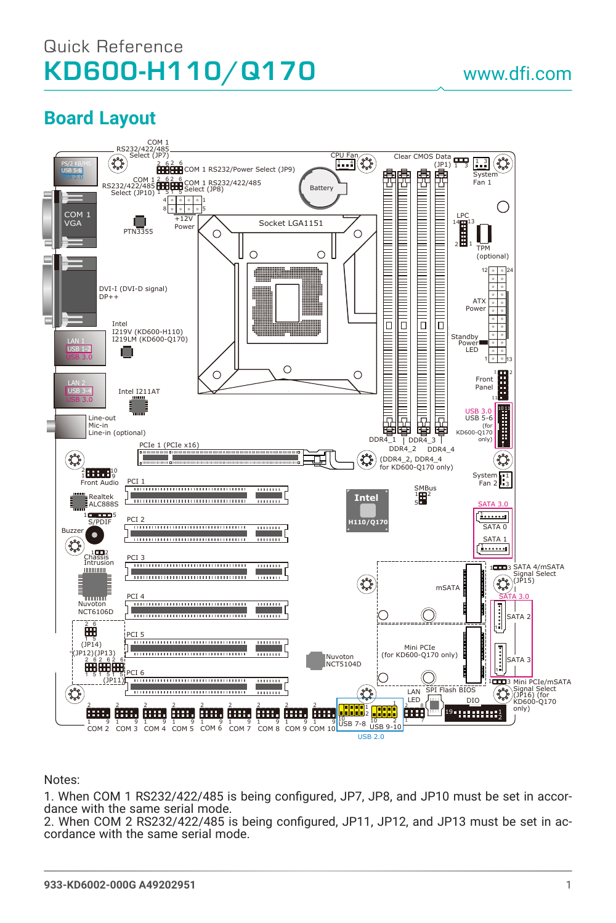## Quick Reference KD600-H110/Q170

## www.dfi.com

## **Board Layout**



Notes:

1. When COM 1 RS232/422/485 is being configured, JP7, JP8, and JP10 must be set in accordance with the same serial mode.

2. When COM 2 RS232/422/485 is being configured, JP11, JP12, and JP13 must be set in accordance with the same serial mode.